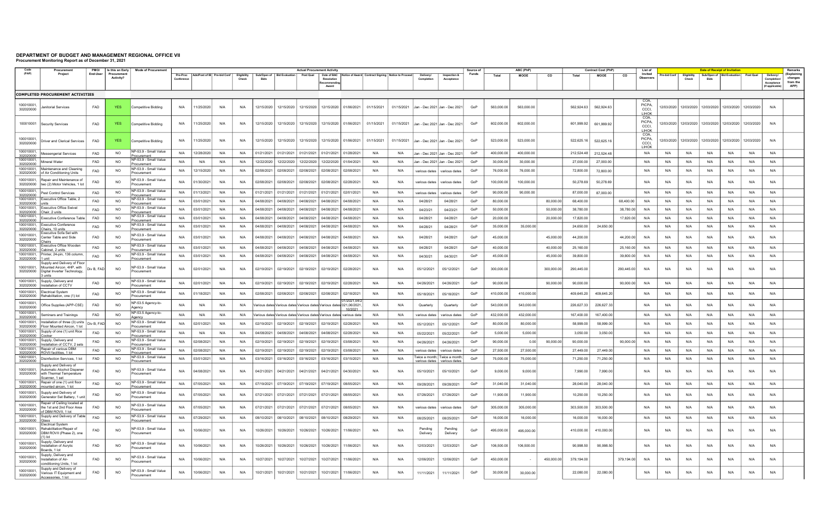## DEPARTMENT OF BUDGET AND MANAGEMENT REGIONAL OFFICE VII Procurement Monitoring Report as of December 31, 2021

|                                      | Procuremen                                                                                           | PMO/       | Is this an Early                | <b>Mode of Procurement</b>                          |                        |                             |     |                      | <b>Actual Procurement Activity</b> |                                                                       |                       |                                    |                     |                                                                |            |                                   |                                |       | Source of  |             | ABC (PhP)  |            | <b>Contract Cost (PhP)</b> |            | List of                                       |              |                      |      | <b>Date of Receipt of Invitation</b> |                                                                |                                                         | Remarks                                    |
|--------------------------------------|------------------------------------------------------------------------------------------------------|------------|---------------------------------|-----------------------------------------------------|------------------------|-----------------------------|-----|----------------------|------------------------------------|-----------------------------------------------------------------------|-----------------------|------------------------------------|---------------------|----------------------------------------------------------------|------------|-----------------------------------|--------------------------------|-------|------------|-------------|------------|------------|----------------------------|------------|-----------------------------------------------|--------------|----------------------|------|--------------------------------------|----------------------------------------------------------------|---------------------------------------------------------|--------------------------------------------|
| (PAP)                                | Project                                                                                              | End-User   | Procurement<br><b>Activity?</b> |                                                     | Pre-Proc<br>Conference | Ads/Post of IB Pre-bid Conf |     | Eligibility<br>Check | <b>Bids</b>                        | Sub/Open of   Bid Evaluation                                          | <b>Post Qual</b>      | Resolution<br>Recommendin<br>Award |                     | Date of BAC Notice of Award Contract Signing Notice to Proceed |            | Delivery/<br>Completion           | Inspection &<br>Acceptance     | Funds | Total      | <b>MOOE</b> | co         | Total      | MOOE                       | CO         | Invited<br><b>Observers</b>                   | Pre-bid Conf | Eligibility<br>Check | Bids | Sub/Open of   Bid Evaluation         | <b>Post Qual</b>                                               | Delivery/<br>Completio<br>Acceptance<br>(If applicable) | (Explaining<br>changes<br>from the<br>APP) |
|                                      | <b>COMPLETED PROCUREMENT ACTIVITIES</b>                                                              |            |                                 |                                                     |                        |                             |     |                      |                                    |                                                                       |                       |                                    |                     |                                                                |            |                                   |                                |       |            |             |            |            |                            |            |                                               |              |                      |      |                                      |                                                                |                                                         |                                            |
| 100010001<br>302020000               | anitorial Services                                                                                   | FAD        | <b>YES</b>                      | Competitive Bidding                                 | N/A                    | 11/25/2020                  | N/A | N/A                  | 12/15/2020                         | 12/15/2020                                                            | 12/15/2020            | 12/15/2020                         | 01/06/2021          | 01/15/2021                                                     | 01/15/2021 | Jan - Dec 2021 Jan - Dec 2021     |                                | GoP   | 563,000.00 | 563,000.00  |            | 562,924.63 | 562,924.63                 |            | COA<br><b>PICPA</b><br>CCCI,<br><b>LIHOK</b>  | 12/03/2020   | 12/03/2020           |      |                                      | 12/03/2020 12/03/2020 12/03/2020                               | N/A                                                     |                                            |
| 100010001                            | Security Services                                                                                    | FAD        | <b>YES</b>                      | <b>Competitive Bidding</b>                          | N/A                    | 11/25/2020                  | N/A | N/A                  | 12/15/2020                         |                                                                       | 12/15/2020 12/15/2020 | 12/15/2020                         | 01/06/2021          | 01/15/2021                                                     | 01/15/2021 |                                   | Jan - Dec 2021 Jan - Dec 2021  | GoP   | 602,000.00 | 602,000.00  |            | 601,999.92 | 601,999.92                 |            | COA,<br><b>PICPA</b><br>CCCI,<br><b>LIHOK</b> | 12/03/2020   |                      |      |                                      | 12/03/2020   12/03/2020   12/03/2020   12/03/2020              | N/A                                                     |                                            |
| 100010001<br>302020000               | Oriver and Clerical Services                                                                         | FAD        | <b>YES</b>                      | <b>Competitive Bidding</b>                          | N/A                    | 11/25/2020                  | N/A | N/A                  | 12/15/2020                         |                                                                       | 12/15/2020 12/15/2020 | 12/15/2020                         | 01/06/2021          | 01/15/2021                                                     | 01/15/2021 |                                   | Jan - Dec 2021 Jan - Dec 2021  | GoP   | 523,000.00 | 523,000.00  |            | 522,625.16 | 522,625.16                 |            | COA,<br><b>PICPA</b><br>CCCI,<br>LIHOK        |              |                      |      |                                      | 12/03/2020   12/03/2020   12/03/2020   12/03/2020   12/03/2020 | N/A                                                     |                                            |
| 100010001<br>302020000               | essengerial Services                                                                                 | FAD        | NO.                             | NP-53.9 - Small Value<br>ocuremen                   | N/A                    | 12/28/2020                  | N/A | N/A                  | 01/21/2021                         | 01/21/2021                                                            | 01/21/2021            | 01/21/2021                         | 01/28/2021          | N/A                                                            | N/A        | Jan - Dec 2021 Jan - Dec 2021     |                                | GoP   | 400,000.00 | 400,000.00  |            | 212,524.48 | 212,524.48                 |            | N/A                                           | N/A          | N/A                  | N/A  | N/A                                  | N/A                                                            | N/A                                                     |                                            |
| 100010001,<br>302020000              | lineral Water                                                                                        | FAD        | <b>NO</b>                       | NP-53.9 - Small Value<br>ocuremen                   | N/A                    | N/A                         | N/A | N/A                  | 12/22/2020                         | 12/22/2020                                                            | 12/22/2020            | 12/22/2020                         | 01/04/2021          | N/A                                                            | N/A        | Jan - Dec 2021 Jan - Dec 2021     |                                | GoP   | 30,000.00  | 30,000.00   |            | 27,000.00  | 27,000.00                  |            | N/A                                           | N/A          | N/A                  | N/A  | N/A                                  | N/A                                                            | N/A                                                     |                                            |
| 100010001<br>302020000               | Maintenance and Cleaning<br>of Air Conditioning Units                                                | FAD        | <b>NO</b>                       | NP-53.9 - Small Value<br>Procurement                | N/A                    | 12/15/2020                  | N/A | N/A                  | 02/08/2021                         | 02/08/2021                                                            | 02/08/2021            | 02/08/2021                         | 02/08/2021          | N/A                                                            | N/A        | various dates                     | various dates                  | GoP   | 76,000.00  | 76,000.00   |            | 72,800.00  | 72,800.00                  |            | N/A                                           | N/A          | N/A                  | N/A  | N/A                                  | N/A                                                            | N/A                                                     |                                            |
| 100010001,<br>302020000              | Repair and Maintenance of<br>two (2) Motor Vehicles, 1 lot                                           | FAD        | <b>NO</b>                       | NP-53.9 - Small Value<br>Procurement                | N/A                    | 01/30/202                   | N/A | N/A                  | 02/08/2021                         | 02/08/2021                                                            | 02/08/2021            | 02/08/2021                         | 02/28/2021          | N/A                                                            | N/A        | various dates                     | various dates                  | GoP   | 100,000.00 | 100,000.00  |            | 50,278.69  | 50,278.69                  |            | N/A                                           | N/A          | N/A                  | N/A  | N/A                                  | N/A                                                            | N/A                                                     |                                            |
| 100010001<br>302020000               | Pest Control Services                                                                                | FAD        | NO.                             | NP-53.9 - Small Value<br>'rocurement                | N/A                    | 01/13/2021                  | N/A | N/A                  | 01/21/2021                         | 01/21/2021                                                            | 01/21/2021            | 01/21/2021                         | 02/01/2021          | N/A                                                            | N/A        | various dates                     | various dates                  | GoP   | 90,000.00  | 90,000.00   |            | 87,000.00  | 87,000.00                  |            | N/A                                           | N/A          | N/A                  | N/A  | N/A                                  | N/A                                                            | N/A                                                     |                                            |
| 100010001,<br>302020000              | Executive Office Table, ∶                                                                            | FAD        | NO.                             | NP-53.9 - Small Value<br>'rocurement                | N/A                    | 03/01/202                   | N/A | N/A                  | 04/08/2021                         | 04/08/2021                                                            | 04/08/202             | 04/08/2021                         | 04/08/2021          | N/A                                                            | N/A        | 04/28/21                          | 04/28/21                       | GoP   | 80,000.00  |             | 80,000.00  | 68,400.00  |                            | 68,400.00  | N/A                                           | N/A          | N/A                  | N/A  | N/A                                  | N/A                                                            | N/A                                                     |                                            |
| 100010001,<br>302020000              | <b>Executive Office Swivel</b><br><u>hair, 2 units</u>                                               | FAD        | <b>NO</b>                       | NP-53.9 - Small Value<br>ocurement                  | N/A                    | 03/01/2021                  | N/A | N/A                  | 04/08/2021                         | 04/08/2021                                                            | 04/08/2021            | 04/08/2021                         | 04/08/2021          | N/A                                                            | N/A        | 04/23/21                          | 04/23/21                       | GoP   | 50,000.00  |             | 50,000.00  | 38,780.00  |                            | 38,780.00  | N/A                                           | N/A          | N/A                  | N/A  | N/A                                  | N/A                                                            | N/A                                                     |                                            |
| 100010001<br>302020000               | Executive Conference Table                                                                           | FAD        | <b>NO</b>                       | NP-53.9 - Small Value<br>ocurement                  | N/A                    | 03/01/202                   | N/A | N/A                  | 04/08/2021                         | 04/08/2021                                                            | 04/08/2021            | 04/08/2021                         | 04/08/2021          | N/A                                                            | N/A        | 04/28/21                          | 04/28/21                       | GoP   | 20,000.00  |             | 20,000.00  | 17,820.00  |                            | 17,820.00  | N/A                                           | N/A          | N/A                  | N/A  | N/A                                  | N/A                                                            | N/A                                                     |                                            |
| 100010001,<br>302020000              | Executive Conference<br>hairs, 10 units                                                              | FAD        | <b>NO</b>                       | NP-53.9 - Small Value<br>rocurement                 | N/A                    | 03/01/2021                  | N/A | N/A                  | 04/08/2021                         | 04/08/2021                                                            | 04/08/2021            | 04/08/2021                         | 04/08/2021          | N/A                                                            | N/A        | 04/28/21                          | 04/28/21                       | GoP   | 35,000.00  | 35,000.00   |            | 24,650.00  | 24,650.00                  |            | N/A                                           | N/A          | N/A                  | N/A  | N/A                                  | N/A                                                            | N/A                                                     |                                            |
| 100010001<br>302020000               | Executive Sofa Set with<br>Center Table and Side                                                     | FAD        | N <sub>O</sub>                  | NP-53.9 - Small Value<br>Procurement                | N/A                    | 03/01/2021                  | N/A | N/A                  | 04/08/2021                         | 04/08/2021                                                            | 04/08/2021            | 04/08/2021                         | 04/08/2021          | N/A                                                            | N/A        | 04/28/21                          | 04/28/21                       | GoP   | 45,000.00  |             | 45,000.00  | 44,200.00  |                            | 44,200.00  | N/A                                           | N/A          | N/A                  | N/A  | N/A                                  | N/A                                                            | N/A                                                     |                                            |
| 100010001,<br>302020000              | <b>Executive Office Wooder</b><br>abinet, 2 units                                                    | FAD        | NO.                             | NP-53.9 - Small Value<br>ncurement                  | N/A                    | 03/01/202                   | N/A | N/A                  | 04/08/2021                         | 04/08/2021                                                            | 04/08/2021            | 04/08/2021                         | 04/08/2021          | N/A                                                            | N/A        | 04/28/21                          | 04/28/21                       | GoP   | 40,000.00  |             | 40,000.00  | 25,160.00  |                            | 25,160.00  | N/A                                           | N/A          | N/A                  | N/A  | N/A                                  | N/A                                                            | N/A                                                     |                                            |
| 100010001,<br>302020000              | rinter, 24-pin, 136 column,                                                                          | FAD        | NO.                             | NP-53.9 - Small Value<br>ocuremen                   | N/A                    | 03/01/2021                  | N/A | N/A                  | 04/08/2021                         | 04/08/2021                                                            | 04/08/2021            | 04/08/2021                         | 04/08/2021          | N/A                                                            | N/A        | 04/30/21                          | 04/30/21                       | GoP   | 45,000.00  |             | 45,000.00  | 39,800.00  |                            | 39,800.00  | N/A                                           | N/A          | N/A                  | N/A  | N/A                                  | N/A                                                            | N/A                                                     |                                            |
| 100010001,<br>302020000              | Supply and Delivery of Floor<br>Mounted Aircon. 4HP, with<br>Digital Inverter Technology,<br>} units | Div B, FAD | NO.                             | NP-53.9 - Small Value<br>Procurement                | N/A                    | 02/01/2021                  | N/A | N/A                  | 02/19/2021                         | 02/19/2021 02/19/2021                                                 |                       | 02/19/2021                         | 02/28/2021          | N/A                                                            | N/A        | 05/12/2021                        | 05/12/2021                     | GoP   | 300,000.00 |             | 300,000.00 | 290,445.00 |                            | 290,445.00 | N/A                                           | N/A          | N/A                  | N/A  | N/A                                  | N/A                                                            | N/A                                                     |                                            |
| 100010001<br>302020000               | Supply, Delivery and<br>nstallation of CCTV                                                          | FAD        | N <sub>O</sub>                  | NP-53.9 - Small Value<br>Procurement                | N/A                    | 02/01/2021                  | N/A | N/A                  | 02/19/2021                         | 02/19/2021                                                            | 02/19/2021            | 02/19/2021                         | 02/28/2021          | N/A                                                            | N/A        | 04/26/2021                        | 04/26/2021                     | GoP   | 90,000.00  |             | 90,000.00  | 90,000.00  |                            | 90,000.00  | N/A                                           | N/A          | N/A                  | N/A  | N/A                                  | N/A                                                            | N/A                                                     |                                            |
| 100010001<br>302020000               | lectrical System<br>Rehabilitation, one (1) lot                                                      | FAD        | NO.                             | NP-53.9 - Small Value<br>Procurement                | N/A                    | 01/18/2021                  | N/A | N/A                  | 02/08/2021                         | 02/08/2021                                                            | 02/08/2021            | 02/08/2021                         | 02/18/2021          | N/A                                                            | N/A        | 05/18/2021                        | 05/18/2021                     | GoP   | 410,000.00 | 410,000.00  |            | 409,645.20 | 409,645.20                 |            | N/A                                           | N/A          | N/A                  | N/A  | N/A                                  | N/A                                                            | N/A                                                     |                                            |
| 100010001<br>302020000               | Office Supplies (APP-CSE)                                                                            | FAD        | NO.                             | NP-53.5 Agency-to-<br>Agency                        | N/A                    | N/A                         | N/A | N/A                  |                                    | /arious dates Various dates Various dates Various dates  021,06/2021, |                       |                                    | /2021,04<br>10/2021 | N/A                                                            | N/A        | Quarterly                         | Quarterly                      | GoP   | 543,000.00 | 543,000.00  |            | 226,627.33 | 226,627.33                 |            | N/A                                           | N/A          | N/A                  | N/A  | N/A                                  | N/A                                                            | N/A                                                     |                                            |
| 100010001<br>302020000               | eminars and Trainings                                                                                | FAD        | NO.                             | NP-53.5 Agency-to-<br>Agency                        | N/A                    | N/A                         | N/A | N/A                  |                                    | /arious dates Various dates Various dates Various dates various date  |                       |                                    |                     | N/A                                                            | N/A        | various dates                     | various dates                  | GoP   | 432,000.00 | 432,000.00  |            | 167,400.00 | 167,400.00                 |            | N/A                                           | N/A          | N/A                  | N/A  | N/A                                  | N/A                                                            | N/A                                                     |                                            |
| 100010001,<br>302020000              | าstallation of three (3) units<br>Floor Mounted Aircon, 1 lot                                        | Div B, FAD | NO.                             | NP-53.9 - Small Value<br>Procurement                | N/A                    | 02/01/2021                  | N/A | N/A                  | 02/19/2021                         | 02/19/2021                                                            | 02/19/2021            | 02/19/2021                         | 02/28/2021          | N/A                                                            | N/A        | 05/12/2021                        | 05/12/2021                     | GoP   | 80,000.00  | 80,000.00   |            | 58,999.00  | 58,999.00                  |            | N/A                                           | N/A          | N/A                  | N/A  | N/A                                  | N/A                                                            | N/A                                                     |                                            |
| 100010001<br>302020000               | upply of one (1) unit Rice<br>Cooker                                                                 | FAD        | NO.                             | NP-53.9 - Small Value<br>rocurement                 | N/A                    | N/A                         | N/A | N/A                  | 04/08/2021                         | 04/08/2021                                                            | 04/08/2021            | 04/08/2021                         | 02/28/2021          | N/A                                                            | N/A        | 05/22/2021                        | 05/22/2021                     | GoP   | 5,000.00   | 5,000.00    |            | 3,050.00   | 3,050.00                   |            | N/A                                           | N/A          | N/A                  | N/A  | N/A                                  | N/A                                                            | N/A                                                     |                                            |
| 100010001,<br>302020000              | Supply, Delivery and<br>istallation of CCTV, 2 sets                                                  | FAD        | N <sub>O</sub>                  | NP-53.9 - Small Value<br>Procurement                | N/A                    | 02/08/2021                  | N/A | N/A                  | 02/19/2021                         | 02/19/2021                                                            | 02/19/2021            | 02/19/2021                         | 03/08/2021          | N/A                                                            | N/A        | 04/26/2021                        | 04/26/2021                     | GoP   | 90,000.00  | 0.00        | 90,000.00  | 90,000.00  |                            | 90,000.00  | N/A                                           | N/A          | N/A                  | N/A  | N/A                                  | N/A                                                            | N/A                                                     |                                            |
| 100010001,<br>302020000              | Repair of various DBM<br>ROVII facilities. 1 lot                                                     | FAD        | NO.                             | NP-53.9 - Small Value<br><u>rocurement</u>          | N/A                    | 02/08/2021                  | N/A | N/A                  | 02/19/2021                         | 02/19/2021                                                            | 02/19/2021            | 02/19/2021                         | 03/08/2021          | N/A                                                            | N/A        | various dates                     | various dates                  | GoP   | 27,500.00  | 27,500.00   |            | 27,449.00  | 27,449.00                  |            | N/A                                           | N/A          | N/A                  | N/A  | N/A                                  | N/A                                                            | N/A                                                     |                                            |
| 100010001,<br>302020000              | Disinfection Services, 1 lot                                                                         | FAD        | <b>NO</b>                       | NP-53.9 - Small Value<br>'rocurement                | N/A                    | 03/01/2021                  | N/A | N/A                  | 03/16/2021                         | 03/16/2021                                                            | 03/16/2021            | 03/16/2021                         | 03/15/2021          | N/A                                                            | N/A        | ⊺wice a month: l<br>various dates | Twice a month<br>various dates | GoP   | 75,000.00  | 75,000.00   |            | 71,250.00  | 71,250.00                  |            | N/A                                           | N/A          | N/A                  | N/A  | N/A                                  | N/A                                                            | N/A                                                     |                                            |
| 100010001,<br>302020000              | Supply and Delivery of<br>Automatic Alcohol Dispener<br>with Thermal Temperature<br>Scanner, 1 set   | FAD        | NO.                             | NP-53.9 - Small Value<br>Procurement                | N/A                    | 04/08/2021                  | N/A | N/A                  |                                    | 04/21/2021   04/21/2021   04/21/2021   04/21/2021                     |                       |                                    | 04/30/2021          | N/A                                                            | N/A        | 05/10/2021                        | 05/10/2021                     | GoP   | 9,000.00   | 9,000.00    |            | 7,990.00   | 7,990.00                   |            | N/A                                           | N/A          | N/A                  | N/A  | N/A                                  | N/A                                                            | N/A                                                     |                                            |
| 100010001,<br>302020000              | Repair of one (1) unit floor<br>ounted aircon, 1 lot                                                 | FAD        | <b>NO</b>                       | NP-53.9 - Small Value<br>rocurement                 | N/A                    | 07/05/2021                  | N/A | N/A                  | 07/19/2021                         | 07/19/2021 07/19/2021                                                 |                       | 07/19/2021                         | 08/05/2021          | N/A                                                            | N/A        | 09/28/2021                        | 09/28/2021                     | GoP   | 31,040.00  | 31,040.00   |            | 28,040.00  | 28,040.00                  |            | N/A                                           | N/A          | N/A                  | N/A  | N/A                                  | N/A                                                            | N/A                                                     |                                            |
| 100010001<br>302020000               | upply and Delivery of<br>Generator Set Battery, 1 unit                                               | FAD        | <b>NO</b>                       | NP-53.9 - Small Value<br>Procurement                | N/A                    | 07/05/2021                  | N/A | N/A                  | 07/21/2021                         | 07/21/2021                                                            | 07/21/2021            | 07/21/2021                         | 08/05/2021          | N/A                                                            | N/A        | 07/26/2021                        | 07/26/2021                     | GoP   | 11,900.00  | 11,900.00   |            | 10,250.00  | 10,250.00                  |            | N/A                                           | N/A          | N/A                  | N/A  | N/A                                  | N/A                                                            | N/A                                                     |                                            |
| 100010001,<br>302020000              | Repair of Ceiling located at<br>the 1st and 2nd Floor Area                                           | FAD        | NO.                             | NP-53.9 - Small Value<br>Procurement                | N/A                    | 07/05/2021                  | N/A | N/A                  | 07/21/2021                         |                                                                       | 07/21/2021 07/21/2021 | 07/21/2021                         | 08/05/2021          | N/A                                                            | N/A        | various dates                     | various dates                  | GoP   | 305,000.00 | 305,000.00  |            | 303,500.00 | 303,500.00                 |            | N/A                                           | N/A          | N/A                  | N/A  | N/A                                  | N/A                                                            | N/A                                                     |                                            |
| 100010001,                           | of DBM ROVII, 1 lot<br>Supply and Delivery of Table                                                  | FAD        | <b>NO</b>                       | NP-53.9 - Small Value                               | N/A                    | 07/29/2021                  | N/A | N/A                  |                                    | 08/10/2021 08/10/2021 08/10/2021 08/10/2021 08/29/2021                |                       |                                    |                     | N/A                                                            | N/A        | 08/25/2021                        | 08/25/2021                     | GoP   | 16,000.00  | 16,000.00   |            | 16,000.00  | 16,000.00                  |            | N/A                                           | N/A          | N/A                  | N/A  | N/A                                  | N/A                                                            | N/A                                                     |                                            |
| 302020000<br>100010001,<br>302020000 | Electrical System<br>Rehabilitation/Repair of<br>DBM ROVII (Phase 2), one<br>1) lot                  | FAD        | <b>NO</b>                       | Procurement<br>NP-53.9 - Small Value<br>Procurement | N/A                    | 10/06/2021                  | N/A | N/A                  | 10/26/2021                         | 10/26/2021                                                            | 10/26/2021            | 10/26/2021                         | 11/06/2021          | N/A                                                            | N/A        | Pending<br>Delivery               | Pending<br>Delivery            | GoP   | 495,000.00 | 495,000.00  |            | 410,000.00 | 410,000.00                 |            | N/A                                           | N/A          | N/A                  | N/A  | N/A                                  | N/A                                                            | N/A                                                     |                                            |
| 100010001,<br>302020000              | Supply, Delivery and<br>nstallation of Acrylic<br>Boards, 1 lot                                      | FAD        | <b>NO</b>                       | NP-53.9 - Small Value<br>Procurement                | N/A                    | 10/06/2021                  | N/A | N/A                  | 10/26/2021                         |                                                                       | 10/26/2021 10/26/2021 | 10/26/2021                         | 11/06/2021          | N/A                                                            | N/A        | 12/03/2021                        | 12/03/2021                     | GoP   | 106,500.00 | 106,500.00  |            | 90,998.50  | 90,998.50                  |            | N/A                                           | N/A          | N/A                  | N/A  | N/A                                  | N/A                                                            | N/A                                                     |                                            |
| 100010001,<br>302020000              | Supply, Delivery and<br>nstallation of Air-<br>conditioning Units, 1 lot                             | FAD        | <b>NO</b>                       | NP-53.9 - Small Value<br>Procurement                | N/A                    | 10/06/2021                  | N/A | N/A                  | 10/27/2021                         |                                                                       | 10/27/2021 10/27/2021 | 10/27/2021                         | 11/06/2021          | N/A                                                            | N/A        | 12/06/2021                        | 12/06/2021                     | GoP   | 450,000.00 |             | 450,000.00 | 379,194.00 |                            | 379,194.00 | N/A                                           | N/A          | N/A                  | N/A  | N/A                                  | N/A                                                            | N/A                                                     |                                            |
| 100010001<br>302020000               | Supply and Delivery of<br>Various IT Equipment and<br>Accessories, 1 lot                             | FAD        | NO.                             | NP-53.9 - Small Value<br>Procurement                | N/A                    | 10/06/2021                  | N/A | N/A                  | 10/21/2021                         | 10/21/2021                                                            | 10/21/2021            | 10/21/2021                         | 11/06/2021          | N/A                                                            | N/A        | 11/11/2021                        | 11/11/2021                     | GoP   | 30,000.00  | 30,000.00   |            | 22,080.00  | 22,080.00                  |            | N/A                                           | N/A          | N/A                  | N/A  | N/A                                  | N/A                                                            | N/A                                                     |                                            |